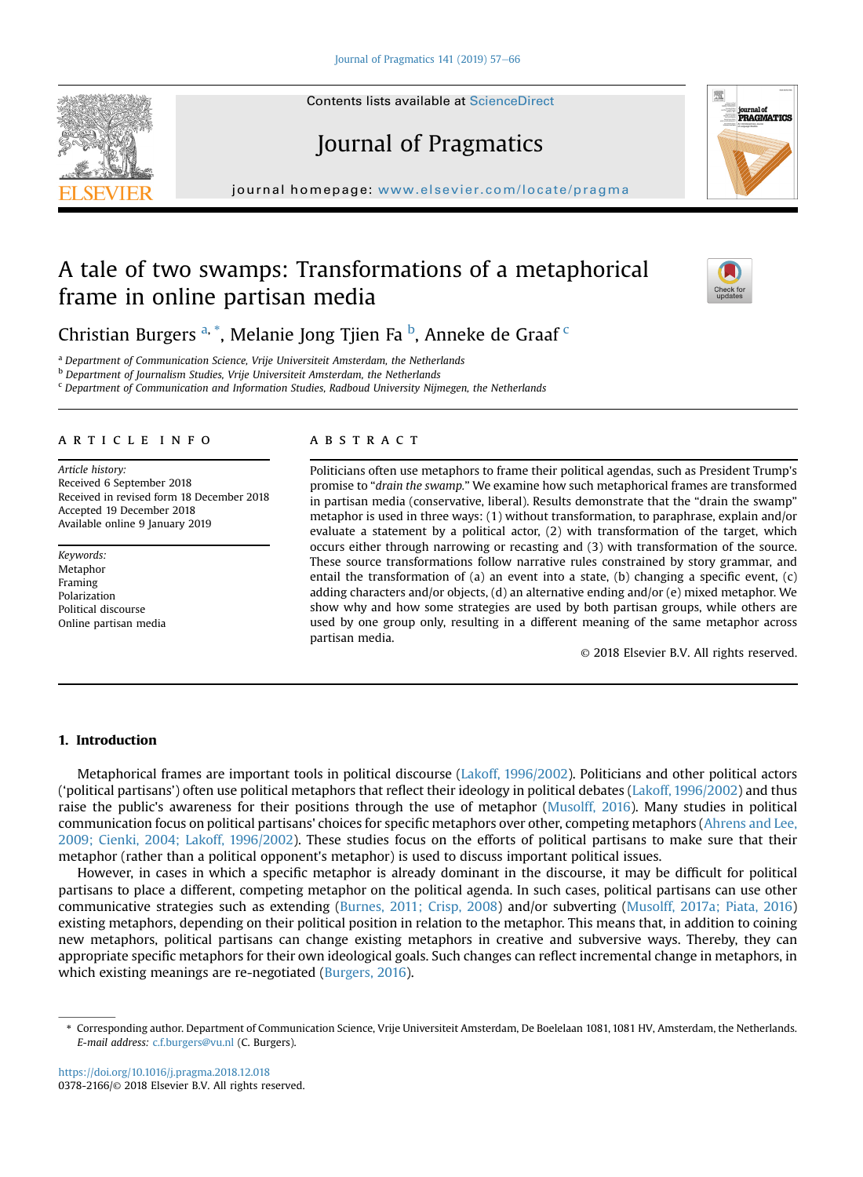# Journal of Pragmatics

journal homepage: <www.elsevier.com/locate/pragma>  $\frac{1}{2}$ 

## A tale of two swamps: Transformations of a metaphorical frame in online partisan media

Christian Burgers <sup>a, \*</sup>, Melanie Jong Tjien Fa <sup>b</sup>, Anneke de Graaf <sup>c</sup>

<sup>a</sup> Department of Communication Science, Vrije Universiteit Amsterdam, the Netherlands

**b** Department of Journalism Studies, Vrije Universiteit Amsterdam, the Netherlands

 $c$  Department of Communication and Information Studies, Radboud University Nijmegen, the Netherlands

## article info

Article history: Received 6 September 2018 Received in revised form 18 December 2018 Accepted 19 December 2018 Available online 9 January 2019

Keywords: Metaphor Framing Polarization Political discourse Online partisan media

## **ABSTRACT**

Politicians often use metaphors to frame their political agendas, such as President Trump's promise to "drain the swamp." We examine how such metaphorical frames are transformed in partisan media (conservative, liberal). Results demonstrate that the "drain the swamp" metaphor is used in three ways: (1) without transformation, to paraphrase, explain and/or evaluate a statement by a political actor, (2) with transformation of the target, which occurs either through narrowing or recasting and (3) with transformation of the source. These source transformations follow narrative rules constrained by story grammar, and entail the transformation of (a) an event into a state, (b) changing a specific event,  $(c)$ adding characters and/or objects, (d) an alternative ending and/or (e) mixed metaphor. We show why and how some strategies are used by both partisan groups, while others are used by one group only, resulting in a different meaning of the same metaphor across partisan media.

© 2018 Elsevier B.V. All rights reserved.

## 1. Introduction

Metaphorical frames are important tools in political discourse [\(Lakoff, 1996/2002](#page-9-0)). Politicians and other political actors ('political partisans') often use political metaphors that reflect their ideology in political debates [\(Lakoff, 1996/2002\)](#page-9-0) and thus raise the public's awareness for their positions through the use of metaphor ([Musolff, 2016\)](#page-9-0). Many studies in political communication focus on political partisans' choices for specific metaphors over other, competing metaphors [\(Ahrens and Lee,](#page-8-0) [2009; Cienki, 2004; Lakoff, 1996/2002](#page-8-0)). These studies focus on the efforts of political partisans to make sure that their metaphor (rather than a political opponent's metaphor) is used to discuss important political issues.

However, in cases in which a specific metaphor is already dominant in the discourse, it may be difficult for political partisans to place a different, competing metaphor on the political agenda. In such cases, political partisans can use other communicative strategies such as extending ([Burnes, 2011; Crisp, 2008](#page-8-0)) and/or subverting ([Musolff, 2017a; Piata, 2016](#page-9-0)) existing metaphors, depending on their political position in relation to the metaphor. This means that, in addition to coining new metaphors, political partisans can change existing metaphors in creative and subversive ways. Thereby, they can appropriate specific metaphors for their own ideological goals. Such changes can reflect incremental change in metaphors, in which existing meanings are re-negotiated ([Burgers, 2016](#page-8-0)).





<sup>\*</sup> Corresponding author. Department of Communication Science, Vrije Universiteit Amsterdam, De Boelelaan 1081, 1081 HV, Amsterdam, the Netherlands. E-mail address: [c.f.burgers@vu.nl](mailto:c.f.burgers@vu.nl) (C. Burgers).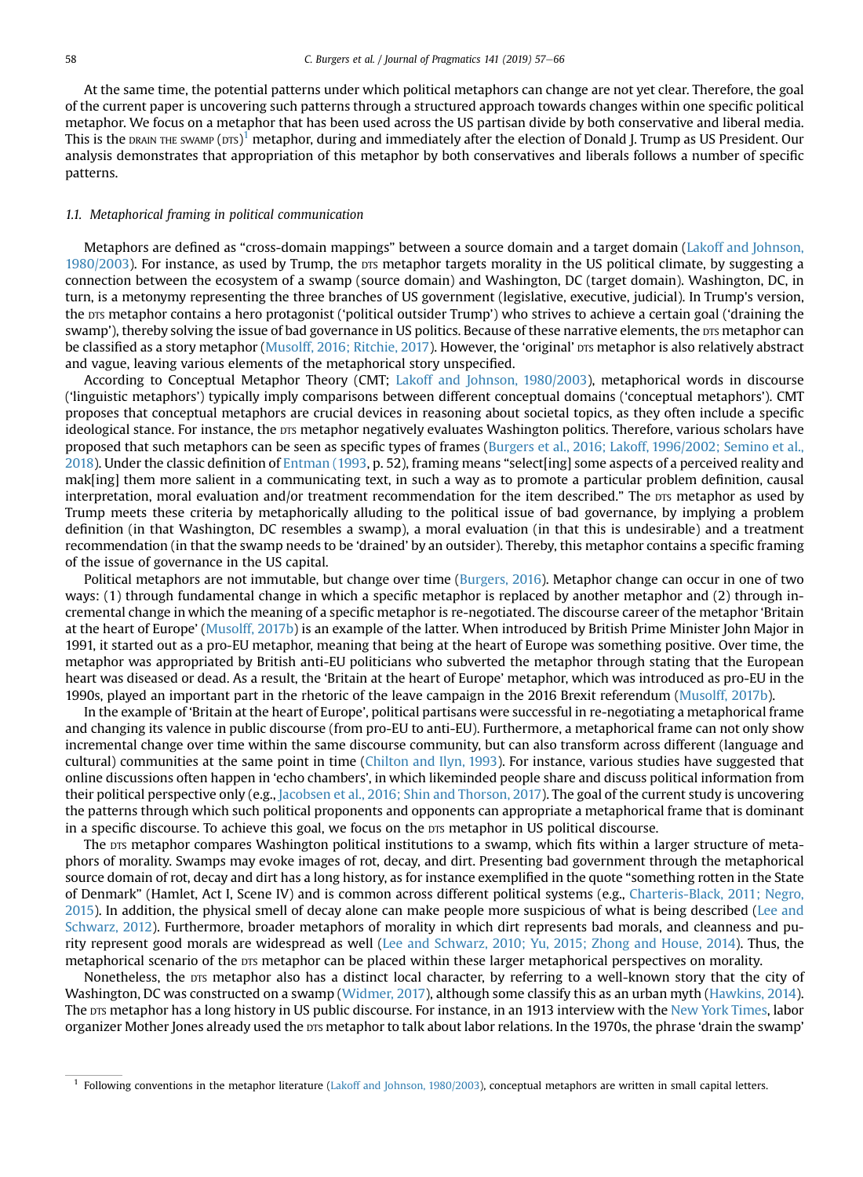At the same time, the potential patterns under which political metaphors can change are not yet clear. Therefore, the goal of the current paper is uncovering such patterns through a structured approach towards changes within one specific political metaphor. We focus on a metaphor that has been used across the US partisan divide by both conservative and liberal media. This is the <code>DRAIN</code> the swamp ( $\rm{prs})^1$  metaphor, during and immediately after the election of Donald J. Trump as US President. Our analysis demonstrates that appropriation of this metaphor by both conservatives and liberals follows a number of specific patterns.

#### 1.1. Metaphorical framing in political communication

Metaphors are defined as "cross-domain mappings" between a source domain and a target domain [\(Lakoff and Johnson,](#page-9-0)  $1980/2003$ ). For instance, as used by Trump, the  $p$ rs metaphor targets morality in the US political climate, by suggesting a connection between the ecosystem of a swamp (source domain) and Washington, DC (target domain). Washington, DC, in turn, is a metonymy representing the three branches of US government (legislative, executive, judicial). In Trump's version, the DTS metaphor contains a hero protagonist ('political outsider Trump') who strives to achieve a certain goal ('draining the swamp'), thereby solving the issue of bad governance in US politics. Because of these narrative elements, the DTS metaphor can be classified as a story metaphor ([Musolff, 2016; Ritchie, 2017\)](#page-9-0). However, the 'original' prs metaphor is also relatively abstract and vague, leaving various elements of the metaphorical story unspecified.

According to Conceptual Metaphor Theory (CMT; [Lakoff and Johnson, 1980/2003\)](#page-9-0), metaphorical words in discourse ('linguistic metaphors') typically imply comparisons between different conceptual domains ('conceptual metaphors'). CMT proposes that conceptual metaphors are crucial devices in reasoning about societal topics, as they often include a specific ideological stance. For instance, the DTS metaphor negatively evaluates Washington politics. Therefore, various scholars have proposed that such metaphors can be seen as specific types of frames [\(Burgers et al., 2016; Lakoff, 1996/2002; Semino et al.,](#page-8-0) [2018](#page-8-0)). Under the classic definition of [Entman \(1993](#page-9-0), p. 52), framing means "select[ing] some aspects of a perceived reality and mak[ing] them more salient in a communicating text, in such a way as to promote a particular problem definition, causal interpretation, moral evaluation and/or treatment recommendation for the item described." The DTS metaphor as used by Trump meets these criteria by metaphorically alluding to the political issue of bad governance, by implying a problem definition (in that Washington, DC resembles a swamp), a moral evaluation (in that this is undesirable) and a treatment recommendation (in that the swamp needs to be 'drained' by an outsider). Thereby, this metaphor contains a specific framing of the issue of governance in the US capital.

Political metaphors are not immutable, but change over time [\(Burgers, 2016\)](#page-8-0). Metaphor change can occur in one of two ways: (1) through fundamental change in which a specific metaphor is replaced by another metaphor and (2) through incremental change in which the meaning of a specific metaphor is re-negotiated. The discourse career of the metaphor 'Britain at the heart of Europe' ([Musolff, 2017b](#page-9-0)) is an example of the latter. When introduced by British Prime Minister John Major in 1991, it started out as a pro-EU metaphor, meaning that being at the heart of Europe was something positive. Over time, the metaphor was appropriated by British anti-EU politicians who subverted the metaphor through stating that the European heart was diseased or dead. As a result, the 'Britain at the heart of Europe' metaphor, which was introduced as pro-EU in the 1990s, played an important part in the rhetoric of the leave campaign in the 2016 Brexit referendum ([Musolff, 2017b](#page-9-0)).

In the example of 'Britain at the heart of Europe', political partisans were successful in re-negotiating a metaphorical frame and changing its valence in public discourse (from pro-EU to anti-EU). Furthermore, a metaphorical frame can not only show incremental change over time within the same discourse community, but can also transform across different (language and cultural) communities at the same point in time ([Chilton and Ilyn, 1993\)](#page-8-0). For instance, various studies have suggested that online discussions often happen in 'echo chambers', in which likeminded people share and discuss political information from their political perspective only (e.g., [Jacobsen et al., 2016; Shin and Thorson, 2017\)](#page-9-0). The goal of the current study is uncovering the patterns through which such political proponents and opponents can appropriate a metaphorical frame that is dominant in a specific discourse. To achieve this goal, we focus on the prs metaphor in US political discourse.

The DTS metaphor compares Washington political institutions to a swamp, which fits within a larger structure of metaphors of morality. Swamps may evoke images of rot, decay, and dirt. Presenting bad government through the metaphorical source domain of rot, decay and dirt has a long history, as for instance exemplified in the quote "something rotten in the State of Denmark" (Hamlet, Act I, Scene IV) and is common across different political systems (e.g., [Charteris-Black, 2011; Negro,](#page-8-0) [2015](#page-8-0)). In addition, the physical smell of decay alone can make people more suspicious of what is being described ([Lee and](#page-9-0) [Schwarz, 2012](#page-9-0)). Furthermore, broader metaphors of morality in which dirt represents bad morals, and cleanness and purity represent good morals are widespread as well [\(Lee and Schwarz, 2010; Yu, 2015; Zhong and House, 2014](#page-9-0)). Thus, the metaphorical scenario of the DTS metaphor can be placed within these larger metaphorical perspectives on morality.

Nonetheless, the DTS metaphor also has a distinct local character, by referring to a well-known story that the city of Washington, DC was constructed on a swamp ([Widmer, 2017](#page-9-0)), although some classify this as an urban myth ([Hawkins, 2014](#page-9-0)). The <sub>DTS</sub> metaphor has a long history in US public discourse. For instance, in an 1913 interview with the [New York Times](#page-9-0), labor organizer Mother Jones already used the prs metaphor to talk about labor relations. In the 1970s, the phrase 'drain the swamp'

 $<sup>1</sup>$  Following conventions in the metaphor literature ([Lakoff and Johnson, 1980/2003\)](#page-9-0), conceptual metaphors are written in small capital letters.</sup>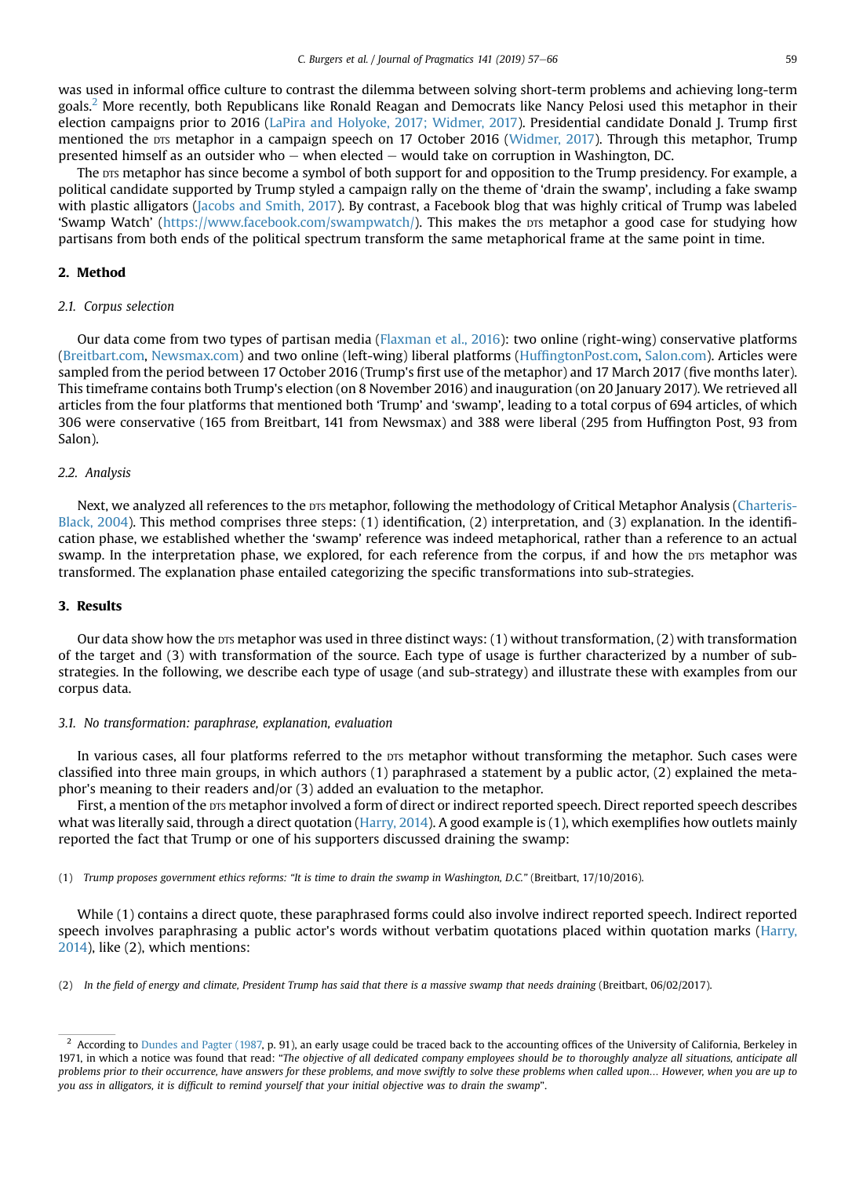was used in informal office culture to contrast the dilemma between solving short-term problems and achieving long-term goals.<sup>2</sup> More recently, both Republicans like Ronald Reagan and Democrats like Nancy Pelosi used this metaphor in their election campaigns prior to 2016 [\(LaPira and Holyoke, 2017; Widmer, 2017\)](#page-9-0). Presidential candidate Donald J. Trump first mentioned the DTS metaphor in a campaign speech on 17 October 2016 [\(Widmer, 2017](#page-9-0)). Through this metaphor, Trump presented himself as an outsider who – when elected – would take on corruption in Washington, DC.

The prs metaphor has since become a symbol of both support for and opposition to the Trump presidency. For example, a political candidate supported by Trump styled a campaign rally on the theme of 'drain the swamp', including a fake swamp with plastic alligators ([Jacobs and Smith, 2017\)](#page-9-0). By contrast, a Facebook blog that was highly critical of Trump was labeled 'Swamp Watch' ([https://www.facebook.com/swampwatch/\)](https://www.facebook.com/swampwatch/). This makes the prs metaphor a good case for studying how partisans from both ends of the political spectrum transform the same metaphorical frame at the same point in time.

## 2. Method

## 2.1. Corpus selection

Our data come from two types of partisan media ([Flaxman et al., 2016\)](#page-9-0): two online (right-wing) conservative platforms ([Breitbart.com](http://Breitbart.com), [Newsmax.com\)](http://Newsmax.com) and two online (left-wing) liberal platforms (Huffi[ngtonPost.com,](http://HuffingtonPost.com) [Salon.com\)](http://Salon.com). Articles were sampled from the period between 17 October 2016 (Trump's first use of the metaphor) and 17 March 2017 (five months later). This timeframe contains both Trump's election (on 8 November 2016) and inauguration (on 20 January 2017). We retrieved all articles from the four platforms that mentioned both 'Trump' and 'swamp', leading to a total corpus of 694 articles, of which 306 were conservative (165 from Breitbart, 141 from Newsmax) and 388 were liberal (295 from Huffington Post, 93 from Salon).

## 2.2. Analysis

Next, we analyzed all references to the DTS metaphor, following the methodology of Critical Metaphor Analysis ([Charteris-](#page-8-0)[Black, 2004\)](#page-8-0). This method comprises three steps: (1) identification, (2) interpretation, and (3) explanation. In the identification phase, we established whether the 'swamp' reference was indeed metaphorical, rather than a reference to an actual swamp. In the interpretation phase, we explored, for each reference from the corpus, if and how the DTS metaphor was transformed. The explanation phase entailed categorizing the specific transformations into sub-strategies.

## 3. Results

Our data show how the  $DSD$  metaphor was used in three distinct ways: (1) without transformation, (2) with transformation of the target and (3) with transformation of the source. Each type of usage is further characterized by a number of substrategies. In the following, we describe each type of usage (and sub-strategy) and illustrate these with examples from our corpus data.

#### 3.1. No transformation: paraphrase, explanation, evaluation

In various cases, all four platforms referred to the DTS metaphor without transforming the metaphor. Such cases were classified into three main groups, in which authors (1) paraphrased a statement by a public actor, (2) explained the metaphor's meaning to their readers and/or (3) added an evaluation to the metaphor.

First, a mention of the prs metaphor involved a form of direct or indirect reported speech. Direct reported speech describes what was literally said, through a direct quotation [\(Harry, 2014](#page-9-0)). A good example is (1), which exemplifies how outlets mainly reported the fact that Trump or one of his supporters discussed draining the swamp:

(1) Trump proposes government ethics reforms: "It is time to drain the swamp in Washington, D.C." (Breitbart, 17/10/2016).

While (1) contains a direct quote, these paraphrased forms could also involve indirect reported speech. Indirect reported speech involves paraphrasing a public actor's words without verbatim quotations placed within quotation marks ([Harry,](#page-9-0) [2014](#page-9-0)), like (2), which mentions:

(2) In the field of energy and climate, President Trump has said that there is a massive swamp that needs draining (Breitbart, 06/02/2017).

 $^2$  According to [Dundes and Pagter \(1987,](#page-9-0) p. 91), an early usage could be traced back to the accounting offices of the University of California, Berkeley in 1971, in which a notice was found that read: "The objective of all dedicated company employees should be to thoroughly analyze all situations, anticipate all problems prior to their occurrence, have answers for these problems, and move swiftly to solve these problems when called upon… However, when you are up to you ass in alligators, it is difficult to remind yourself that your initial objective was to drain the swamp".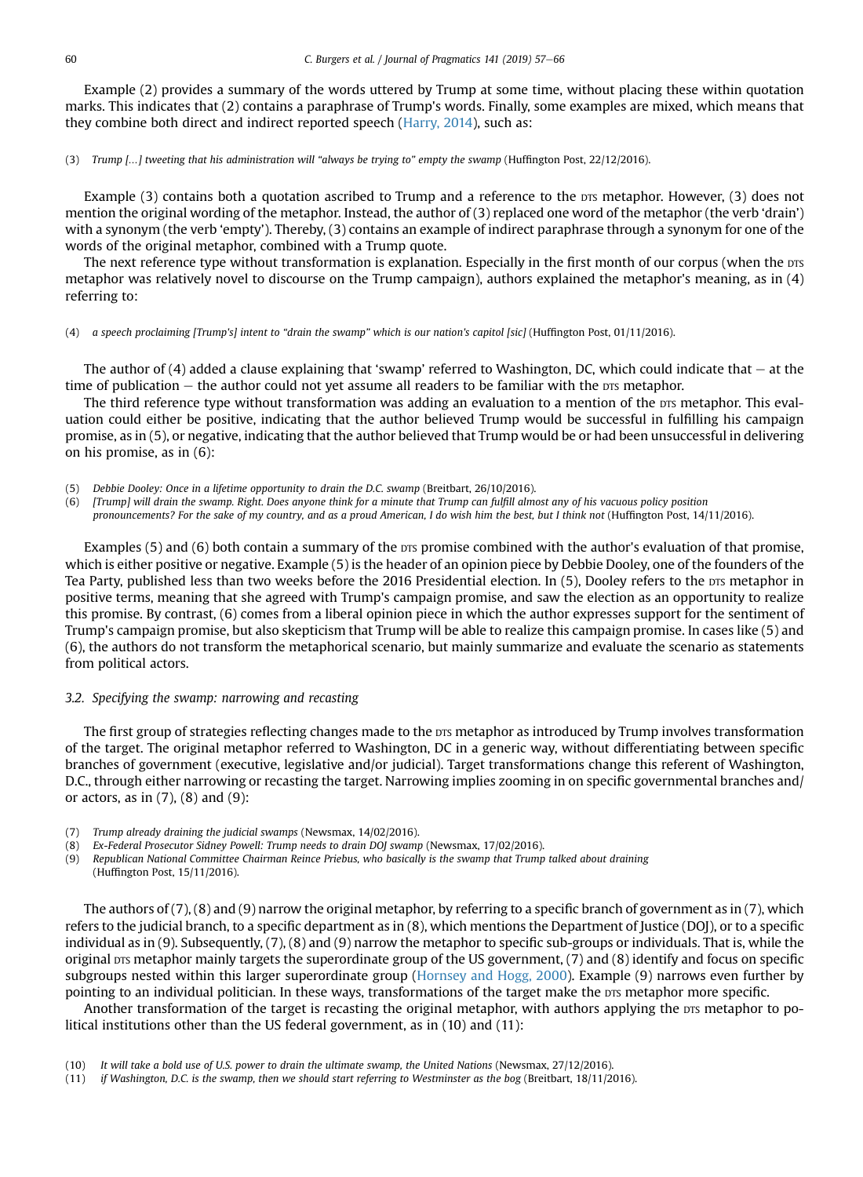Example (2) provides a summary of the words uttered by Trump at some time, without placing these within quotation marks. This indicates that (2) contains a paraphrase of Trump's words. Finally, some examples are mixed, which means that they combine both direct and indirect reported speech [\(Harry, 2014](#page-9-0)), such as:

(3) Trump […] tweeting that his administration will "always be trying to" empty the swamp (Huffington Post, 22/12/2016).

Example (3) contains both a quotation ascribed to Trump and a reference to the DTS metaphor. However, (3) does not mention the original wording of the metaphor. Instead, the author of (3) replaced one word of the metaphor (the verb 'drain') with a synonym (the verb 'empty'). Thereby, (3) contains an example of indirect paraphrase through a synonym for one of the words of the original metaphor, combined with a Trump quote.

The next reference type without transformation is explanation. Especially in the first month of our corpus (when the DTS metaphor was relatively novel to discourse on the Trump campaign), authors explained the metaphor's meaning, as in (4) referring to:

(4) a speech proclaiming [Trump's] intent to "drain the swamp" which is our nation's capitol [sic] (Huffington Post, 01/11/2016).

The author of  $(4)$  added a clause explaining that 'swamp' referred to Washington, DC, which could indicate that  $-$  at the time of publication  $-$  the author could not yet assume all readers to be familiar with the  $DTS$  metaphor.

The third reference type without transformation was adding an evaluation to a mention of the DTS metaphor. This evaluation could either be positive, indicating that the author believed Trump would be successful in fulfilling his campaign promise, as in (5), or negative, indicating that the author believed that Trump would be or had been unsuccessful in delivering on his promise, as in (6):

(5) Debbie Dooley: Once in a lifetime opportunity to drain the D.C. swamp (Breitbart, 26/10/2016).

(6) [Trump] will drain the swamp. Right. Does anyone think for a minute that Trump can fulfill almost any of his vacuous policy position pronouncements? For the sake of my country, and as a proud American, I do wish him the best, but I think not (Huffington Post, 14/11/2016).

Examples  $(5)$  and  $(6)$  both contain a summary of the  $p$ s promise combined with the author's evaluation of that promise, which is either positive or negative. Example (5) is the header of an opinion piece by Debbie Dooley, one of the founders of the Tea Party, published less than two weeks before the 2016 Presidential election. In (5), Dooley refers to the DTS metaphor in positive terms, meaning that she agreed with Trump's campaign promise, and saw the election as an opportunity to realize this promise. By contrast, (6) comes from a liberal opinion piece in which the author expresses support for the sentiment of Trump's campaign promise, but also skepticism that Trump will be able to realize this campaign promise. In cases like (5) and (6), the authors do not transform the metaphorical scenario, but mainly summarize and evaluate the scenario as statements from political actors.

## 3.2. Specifying the swamp: narrowing and recasting

The first group of strategies reflecting changes made to the DTS metaphor as introduced by Trump involves transformation of the target. The original metaphor referred to Washington, DC in a generic way, without differentiating between specific branches of government (executive, legislative and/or judicial). Target transformations change this referent of Washington, D.C., through either narrowing or recasting the target. Narrowing implies zooming in on specific governmental branches and/ or actors, as in  $(7)$ ,  $(8)$  and  $(9)$ :

- (7) Trump already draining the judicial swamps (Newsmax, 14/02/2016).
- (8) Ex-Federal Prosecutor Sidney Powell: Trump needs to drain DOJ swamp (Newsmax, 17/02/2016).
- (9) Republican National Committee Chairman Reince Priebus, who basically is the swamp that Trump talked about draining (Huffington Post, 15/11/2016).

The authors of (7), (8) and (9) narrow the original metaphor, by referring to a specific branch of government as in (7), which refers to the judicial branch, to a specific department as in (8), which mentions the Department of Justice (DOJ), or to a specific individual as in (9). Subsequently, (7), (8) and (9) narrow the metaphor to specific sub-groups or individuals. That is, while the original prs metaphor mainly targets the superordinate group of the US government, (7) and (8) identify and focus on specific subgroups nested within this larger superordinate group [\(Hornsey and Hogg, 2000\)](#page-9-0). Example (9) narrows even further by pointing to an individual politician. In these ways, transformations of the target make the DTS metaphor more specific.

Another transformation of the target is recasting the original metaphor, with authors applying the DTS metaphor to political institutions other than the US federal government, as in (10) and (11):

<sup>(10)</sup> It will take a bold use of U.S. power to drain the ultimate swamp, the United Nations (Newsmax, 27/12/2016).

<sup>(11)</sup> if Washington, D.C. is the swamp, then we should start referring to Westminster as the bog (Breitbart, 18/11/2016).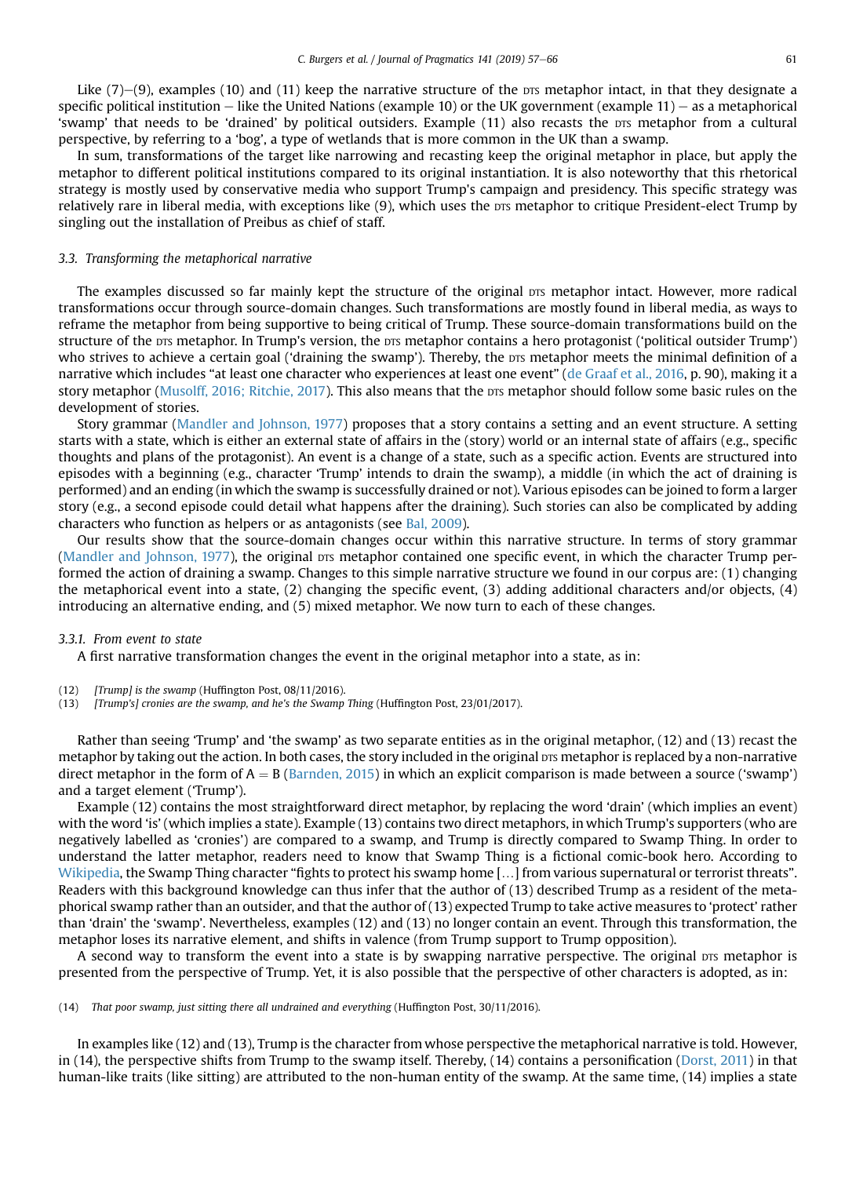Like  $(7)$ – $(9)$ , examples (10) and (11) keep the narrative structure of the  $p$ rs metaphor intact, in that they designate a specific political institution – like the United Nations (example 10) or the UK government (example 11) – as a metaphorical 'swamp' that needs to be 'drained' by political outsiders. Example (11) also recasts the DTS metaphor from a cultural perspective, by referring to a 'bog', a type of wetlands that is more common in the UK than a swamp.

In sum, transformations of the target like narrowing and recasting keep the original metaphor in place, but apply the metaphor to different political institutions compared to its original instantiation. It is also noteworthy that this rhetorical strategy is mostly used by conservative media who support Trump's campaign and presidency. This specific strategy was relatively rare in liberal media, with exceptions like (9), which uses the DTS metaphor to critique President-elect Trump by singling out the installation of Preibus as chief of staff.

#### 3.3. Transforming the metaphorical narrative

The examples discussed so far mainly kept the structure of the original DTS metaphor intact. However, more radical transformations occur through source-domain changes. Such transformations are mostly found in liberal media, as ways to reframe the metaphor from being supportive to being critical of Trump. These source-domain transformations build on the structure of the DTS metaphor. In Trump's version, the DTS metaphor contains a hero protagonist ('political outsider Trump') who strives to achieve a certain goal ('draining the swamp'). Thereby, the DTS metaphor meets the minimal definition of a narrative which includes "at least one character who experiences at least one event" ([de Graaf et al., 2016,](#page-8-0) p. 90), making it a story metaphor ([Musolff, 2016; Ritchie, 2017\)](#page-9-0). This also means that the prs metaphor should follow some basic rules on the development of stories.

Story grammar ([Mandler and Johnson, 1977](#page-9-0)) proposes that a story contains a setting and an event structure. A setting starts with a state, which is either an external state of affairs in the (story) world or an internal state of affairs (e.g., specific thoughts and plans of the protagonist). An event is a change of a state, such as a specific action. Events are structured into episodes with a beginning (e.g., character 'Trump' intends to drain the swamp), a middle (in which the act of draining is performed) and an ending (in which the swamp is successfully drained or not). Various episodes can be joined to form a larger story (e.g., a second episode could detail what happens after the draining). Such stories can also be complicated by adding characters who function as helpers or as antagonists (see [Bal, 2009](#page-8-0)).

Our results show that the source-domain changes occur within this narrative structure. In terms of story grammar ([Mandler and Johnson, 1977](#page-9-0)), the original pris metaphor contained one specific event, in which the character Trump performed the action of draining a swamp. Changes to this simple narrative structure we found in our corpus are: (1) changing the metaphorical event into a state, (2) changing the specific event, (3) adding additional characters and/or objects, (4) introducing an alternative ending, and (5) mixed metaphor. We now turn to each of these changes.

## 3.3.1. From event to state

- A first narrative transformation changes the event in the original metaphor into a state, as in:
- $(12)$  [Trump] is the swamp (Huffington Post, 08/11/2016).
- (13) [Trump's] cronies are the swamp, and he's the Swamp Thing (Huffington Post, 23/01/2017).

Rather than seeing 'Trump' and 'the swamp' as two separate entities as in the original metaphor, (12) and (13) recast the metaphor by taking out the action. In both cases, the story included in the original prs metaphor is replaced by a non-narrative direct metaphor in the form of  $A = B$  [\(Barnden, 2015](#page-8-0)) in which an explicit comparison is made between a source ('swamp') and a target element ('Trump').

Example (12) contains the most straightforward direct metaphor, by replacing the word 'drain' (which implies an event) with the word 'is' (which implies a state). Example (13) contains two direct metaphors, in which Trump's supporters (who are negatively labelled as 'cronies') are compared to a swamp, and Trump is directly compared to Swamp Thing. In order to understand the latter metaphor, readers need to know that Swamp Thing is a fictional comic-book hero. According to [Wikipedia,](#page-9-0) the Swamp Thing character "fights to protect his swamp home […] from various supernatural or terrorist threats". Readers with this background knowledge can thus infer that the author of (13) described Trump as a resident of the metaphorical swamp rather than an outsider, and that the author of (13) expected Trump to take active measures to 'protect' rather than 'drain' the 'swamp'. Nevertheless, examples (12) and (13) no longer contain an event. Through this transformation, the metaphor loses its narrative element, and shifts in valence (from Trump support to Trump opposition).

A second way to transform the event into a state is by swapping narrative perspective. The original prs metaphor is presented from the perspective of Trump. Yet, it is also possible that the perspective of other characters is adopted, as in:

#### (14) That poor swamp, just sitting there all undrained and everything (Huffington Post, 30/11/2016).

In examples like (12) and (13), Trump is the character from whose perspective the metaphorical narrative is told. However, in (14), the perspective shifts from Trump to the swamp itself. Thereby, (14) contains a personification ([Dorst, 2011\)](#page-9-0) in that human-like traits (like sitting) are attributed to the non-human entity of the swamp. At the same time, (14) implies a state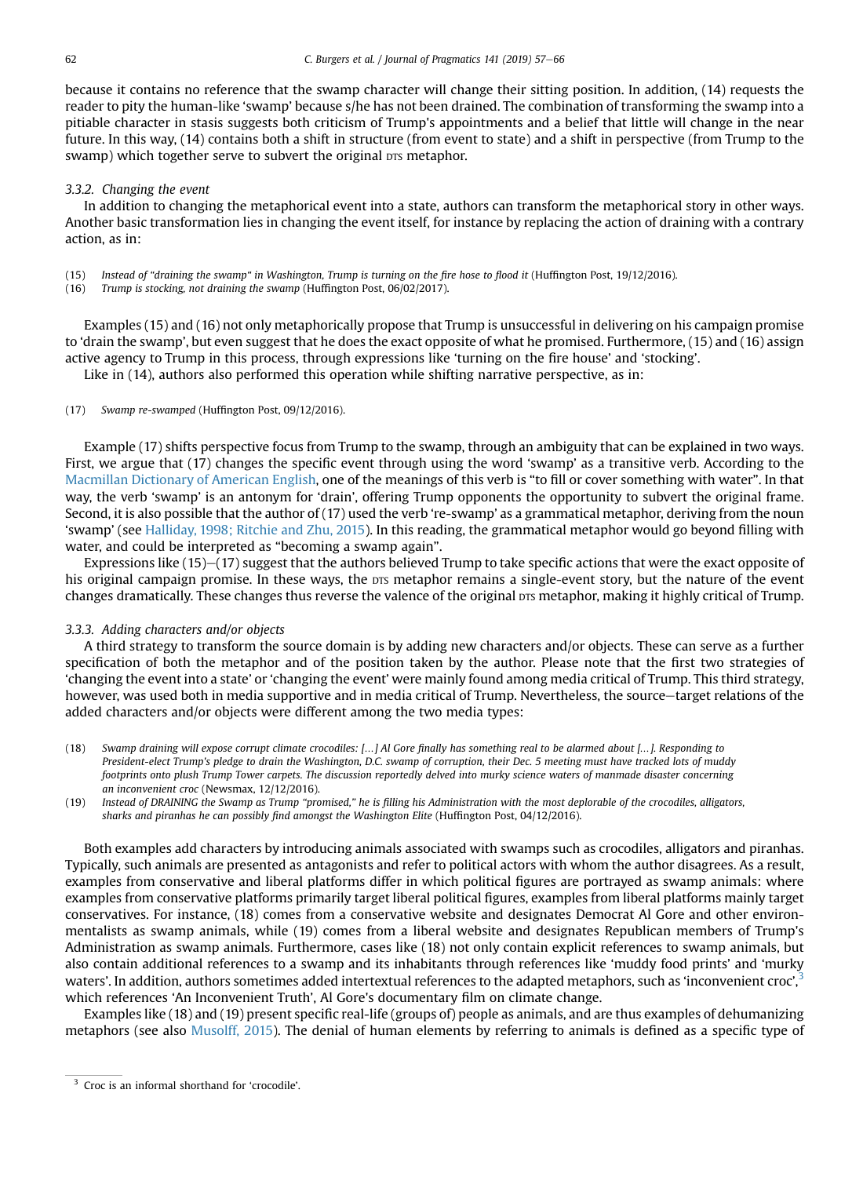because it contains no reference that the swamp character will change their sitting position. In addition, (14) requests the reader to pity the human-like 'swamp' because s/he has not been drained. The combination of transforming the swamp into a pitiable character in stasis suggests both criticism of Trump's appointments and a belief that little will change in the near future. In this way, (14) contains both a shift in structure (from event to state) and a shift in perspective (from Trump to the swamp) which together serve to subvert the original  $DTS$  metaphor.

#### 3.3.2. Changing the event

In addition to changing the metaphorical event into a state, authors can transform the metaphorical story in other ways. Another basic transformation lies in changing the event itself, for instance by replacing the action of draining with a contrary action, as in:

- (15) Instead of "draining the swamp" in Washington, Trump is turning on the fire hose to flood it (Huffington Post, 19/12/2016).
- (16) Trump is stocking, not draining the swamp (Huffington Post, 06/02/2017).

Examples (15) and (16) not only metaphorically propose that Trump is unsuccessful in delivering on his campaign promise to 'drain the swamp', but even suggest that he does the exact opposite of what he promised. Furthermore, (15) and (16) assign active agency to Trump in this process, through expressions like 'turning on the fire house' and 'stocking'.

Like in (14), authors also performed this operation while shifting narrative perspective, as in:

#### (17) Swamp re-swamped (Huffington Post, 09/12/2016).

Example (17) shifts perspective focus from Trump to the swamp, through an ambiguity that can be explained in two ways. First, we argue that (17) changes the specific event through using the word 'swamp' as a transitive verb. According to the [Macmillan Dictionary of American English](#page-9-0), one of the meanings of this verb is "to fill or cover something with water". In that way, the verb 'swamp' is an antonym for 'drain', offering Trump opponents the opportunity to subvert the original frame. Second, it is also possible that the author of (17) used the verb 're-swamp' as a grammatical metaphor, deriving from the noun 'swamp' (see [Halliday, 1998; Ritchie and Zhu, 2015](#page-9-0)). In this reading, the grammatical metaphor would go beyond filling with water, and could be interpreted as "becoming a swamp again".

Expressions like  $(15)-(17)$  suggest that the authors believed Trump to take specific actions that were the exact opposite of his original campaign promise. In these ways, the prs metaphor remains a single-event story, but the nature of the event changes dramatically. These changes thus reverse the valence of the original  $prs$  metaphor, making it highly critical of Trump.

#### 3.3.3. Adding characters and/or objects

A third strategy to transform the source domain is by adding new characters and/or objects. These can serve as a further specification of both the metaphor and of the position taken by the author. Please note that the first two strategies of 'changing the event into a state' or 'changing the event' were mainly found among media critical of Trump. This third strategy, however, was used both in media supportive and in media critical of Trump. Nevertheless, the source-target relations of the added characters and/or objects were different among the two media types:

- (18) Swamp draining will expose corrupt climate crocodiles: […] Al Gore finally has something real to be alarmed about […]. Responding to President-elect Trump's pledge to drain the Washington, D.C. swamp of corruption, their Dec. 5 meeting must have tracked lots of muddy footprints onto plush Trump Tower carpets. The discussion reportedly delved into murky science waters of manmade disaster concerning an inconvenient croc (Newsmax, 12/12/2016).
- (19) Instead of DRAINING the Swamp as Trump "promised," he is filling his Administration with the most deplorable of the crocodiles, alligators, sharks and piranhas he can possibly find amongst the Washington Elite (Huffington Post, 04/12/2016).

Both examples add characters by introducing animals associated with swamps such as crocodiles, alligators and piranhas. Typically, such animals are presented as antagonists and refer to political actors with whom the author disagrees. As a result, examples from conservative and liberal platforms differ in which political figures are portrayed as swamp animals: where examples from conservative platforms primarily target liberal political figures, examples from liberal platforms mainly target conservatives. For instance, (18) comes from a conservative website and designates Democrat Al Gore and other environmentalists as swamp animals, while (19) comes from a liberal website and designates Republican members of Trump's Administration as swamp animals. Furthermore, cases like (18) not only contain explicit references to swamp animals, but also contain additional references to a swamp and its inhabitants through references like 'muddy food prints' and 'murky waters'. In addition, authors sometimes added intertextual references to the adapted metaphors, such as 'inconvenient croc', <sup>3</sup> which references 'An Inconvenient Truth', Al Gore's documentary film on climate change.

Examples like (18) and (19) present specific real-life (groups of) people as animals, and are thus examples of dehumanizing metaphors (see also [Musolff, 2015](#page-9-0)). The denial of human elements by referring to animals is defined as a specific type of

<sup>&</sup>lt;sup>3</sup> Croc is an informal shorthand for 'crocodile'.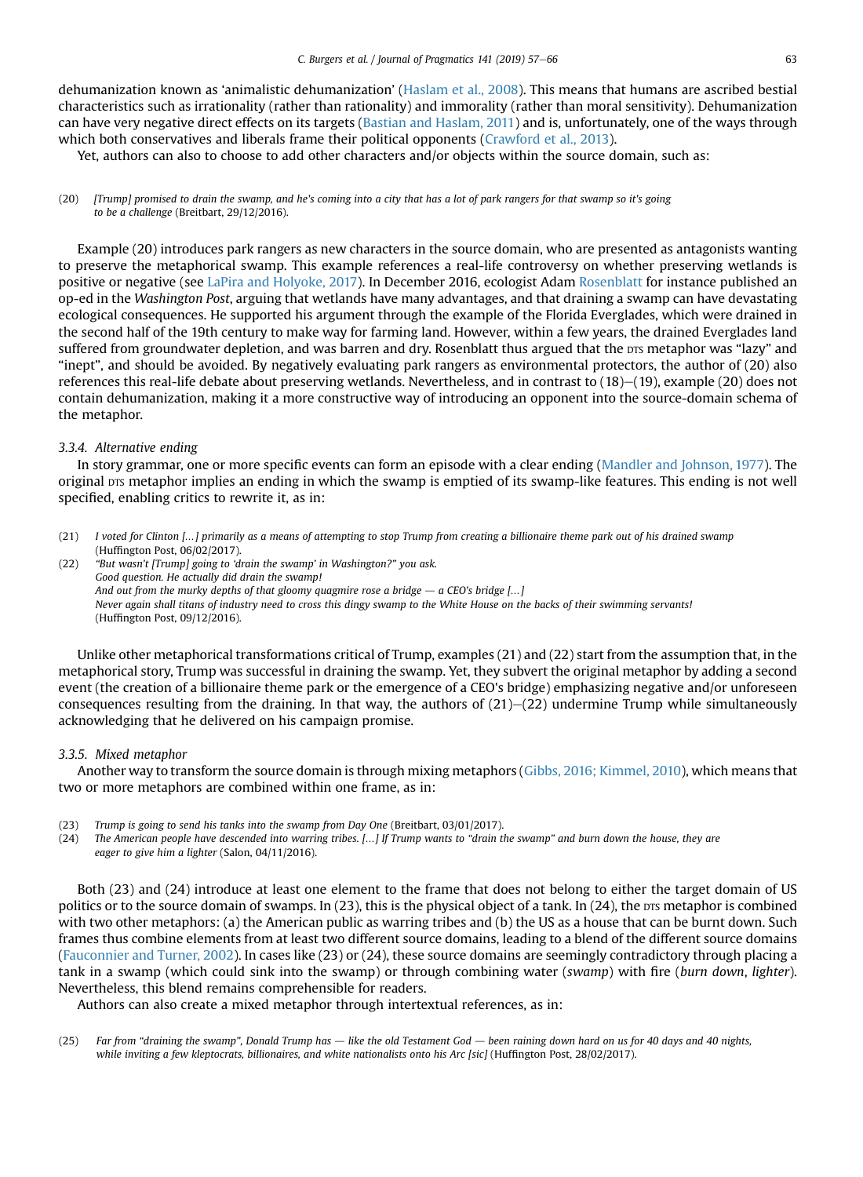dehumanization known as 'animalistic dehumanization' ([Haslam et al., 2008](#page-9-0)). This means that humans are ascribed bestial characteristics such as irrationality (rather than rationality) and immorality (rather than moral sensitivity). Dehumanization can have very negative direct effects on its targets [\(Bastian and Haslam, 2011\)](#page-8-0) and is, unfortunately, one of the ways through which both conservatives and liberals frame their political opponents [\(Crawford et al., 2013](#page-8-0)).

Yet, authors can also to choose to add other characters and/or objects within the source domain, such as:

(20) [Trump] promised to drain the swamp, and he's coming into a city that has a lot of park rangers for that swamp so it's going to be a challenge (Breitbart, 29/12/2016).

Example (20) introduces park rangers as new characters in the source domain, who are presented as antagonists wanting to preserve the metaphorical swamp. This example references a real-life controversy on whether preserving wetlands is positive or negative (see [LaPira and Holyoke, 2017\)](#page-9-0). In December 2016, ecologist Adam [Rosenblatt](#page-9-0) for instance published an op-ed in the Washington Post, arguing that wetlands have many advantages, and that draining a swamp can have devastating ecological consequences. He supported his argument through the example of the Florida Everglades, which were drained in the second half of the 19th century to make way for farming land. However, within a few years, the drained Everglades land suffered from groundwater depletion, and was barren and dry. Rosenblatt thus argued that the DTS metaphor was "lazy" and "inept", and should be avoided. By negatively evaluating park rangers as environmental protectors, the author of (20) also references this real-life debate about preserving wetlands. Nevertheless, and in contrast to  $(18)$ – $(19)$ , example  $(20)$  does not contain dehumanization, making it a more constructive way of introducing an opponent into the source-domain schema of the metaphor.

## 3.3.4. Alternative ending

In story grammar, one or more specific events can form an episode with a clear ending ([Mandler and Johnson, 1977](#page-9-0)). The original  $DTS$  metaphor implies an ending in which the swamp is emptied of its swamp-like features. This ending is not well specified, enabling critics to rewrite it, as in:

(21) I voted for Clinton […] primarily as a means of attempting to stop Trump from creating a billionaire theme park out of his drained swamp (Huffington Post, 06/02/2017). (22) "But wasn't [Trump] going to 'drain the swamp' in Washington?" you ask. Good question. He actually did drain the swamp! And out from the murky depths of that gloomy quagmire rose a bridge  $-a$  CEO's bridge [...] Never again shall titans of industry need to cross this dingy swamp to the White House on the backs of their swimming servants! (Huffington Post, 09/12/2016).

Unlike other metaphorical transformations critical of Trump, examples (21) and (22) start from the assumption that, in the metaphorical story, Trump was successful in draining the swamp. Yet, they subvert the original metaphor by adding a second event (the creation of a billionaire theme park or the emergence of a CEO's bridge) emphasizing negative and/or unforeseen consequences resulting from the draining. In that way, the authors of  $(21)$ – $(22)$  undermine Trump while simultaneously acknowledging that he delivered on his campaign promise.

## 3.3.5. Mixed metaphor

Another way to transform the source domain is through mixing metaphors ([Gibbs, 2016; Kimmel, 2010\)](#page-9-0), which means that two or more metaphors are combined within one frame, as in:

- (23) Trump is going to send his tanks into the swamp from Day One (Breitbart, 03/01/2017).<br>(24) The American people have descended into warring tribes. [...] If Trump wants to "drain to
- The American people have descended into warring tribes. [...] If Trump wants to "drain the swamp" and burn down the house, they are eager to give him a lighter (Salon, 04/11/2016).

Both (23) and (24) introduce at least one element to the frame that does not belong to either the target domain of US politics or to the source domain of swamps. In  $(23)$ , this is the physical object of a tank. In  $(24)$ , the primit expression is combined with two other metaphors: (a) the American public as warring tribes and (b) the US as a house that can be burnt down. Such frames thus combine elements from at least two different source domains, leading to a blend of the different source domains ([Fauconnier and Turner, 2002](#page-9-0)). In cases like (23) or (24), these source domains are seemingly contradictory through placing a tank in a swamp (which could sink into the swamp) or through combining water (swamp) with fire (burn down, lighter). Nevertheless, this blend remains comprehensible for readers.

Authors can also create a mixed metaphor through intertextual references, as in:

(25) Far from "draining the swamp", Donald Trump has  $-$  like the old Testament God  $-$  been raining down hard on us for 40 days and 40 nights, while inviting a few kleptocrats, billionaires, and white nationalists onto his Arc [sic] (Huffington Post, 28/02/2017).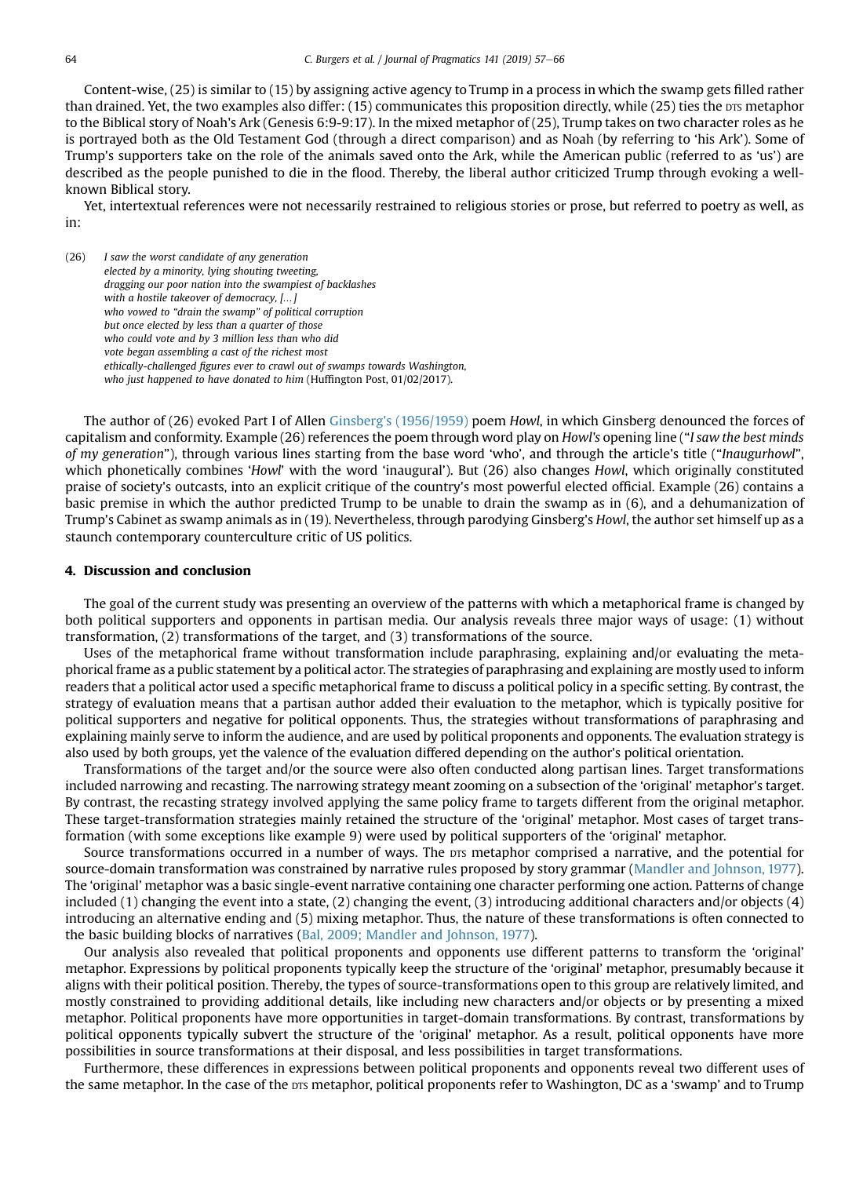Content-wise, (25) is similar to (15) by assigning active agency to Trump in a process in which the swamp gets filled rather than drained. Yet, the two examples also differ: (15) communicates this proposition directly, while (25) ties the DTS metaphor to the Biblical story of Noah's Ark (Genesis 6:9-9:17). In the mixed metaphor of (25), Trump takes on two character roles as he is portrayed both as the Old Testament God (through a direct comparison) and as Noah (by referring to 'his Ark'). Some of Trump's supporters take on the role of the animals saved onto the Ark, while the American public (referred to as 'us') are described as the people punished to die in the flood. Thereby, the liberal author criticized Trump through evoking a wellknown Biblical story.

Yet, intertextual references were not necessarily restrained to religious stories or prose, but referred to poetry as well, as in:

(26) I saw the worst candidate of any generation elected by a minority, lying shouting tweeting, dragging our poor nation into the swampiest of backlashes with a hostile takeover of democracy, […] who vowed to "drain the swamp" of political corruption but once elected by less than a quarter of those who could vote and by 3 million less than who did vote began assembling a cast of the richest most ethically-challenged figures ever to crawl out of swamps towards Washington, who just happened to have donated to him (Huffington Post, 01/02/2017).

The author of (26) evoked Part I of Allen [Ginsberg's \(1956/1959\)](#page-9-0) poem Howl, in which Ginsberg denounced the forces of capitalism and conformity. Example (26) references the poem through word play on Howl's opening line ("I saw the best minds of my generation"), through various lines starting from the base word 'who', and through the article's title ("Inaugurhowl", which phonetically combines 'Howl' with the word 'inaugural'). But (26) also changes Howl, which originally constituted praise of society's outcasts, into an explicit critique of the country's most powerful elected official. Example (26) contains a basic premise in which the author predicted Trump to be unable to drain the swamp as in (6), and a dehumanization of Trump's Cabinet as swamp animals as in (19). Nevertheless, through parodying Ginsberg's Howl, the author set himself up as a staunch contemporary counterculture critic of US politics.

## 4. Discussion and conclusion

The goal of the current study was presenting an overview of the patterns with which a metaphorical frame is changed by both political supporters and opponents in partisan media. Our analysis reveals three major ways of usage: (1) without transformation, (2) transformations of the target, and (3) transformations of the source.

Uses of the metaphorical frame without transformation include paraphrasing, explaining and/or evaluating the metaphorical frame as a public statement by a political actor. The strategies of paraphrasing and explaining are mostly used to inform readers that a political actor used a specific metaphorical frame to discuss a political policy in a specific setting. By contrast, the strategy of evaluation means that a partisan author added their evaluation to the metaphor, which is typically positive for political supporters and negative for political opponents. Thus, the strategies without transformations of paraphrasing and explaining mainly serve to inform the audience, and are used by political proponents and opponents. The evaluation strategy is also used by both groups, yet the valence of the evaluation differed depending on the author's political orientation.

Transformations of the target and/or the source were also often conducted along partisan lines. Target transformations included narrowing and recasting. The narrowing strategy meant zooming on a subsection of the 'original' metaphor's target. By contrast, the recasting strategy involved applying the same policy frame to targets different from the original metaphor. These target-transformation strategies mainly retained the structure of the 'original' metaphor. Most cases of target transformation (with some exceptions like example 9) were used by political supporters of the 'original' metaphor.

Source transformations occurred in a number of ways. The DTS metaphor comprised a narrative, and the potential for source-domain transformation was constrained by narrative rules proposed by story grammar [\(Mandler and Johnson, 1977](#page-9-0)). The 'original' metaphor was a basic single-event narrative containing one character performing one action. Patterns of change included (1) changing the event into a state, (2) changing the event, (3) introducing additional characters and/or objects (4) introducing an alternative ending and (5) mixing metaphor. Thus, the nature of these transformations is often connected to the basic building blocks of narratives ([Bal, 2009; Mandler and Johnson, 1977](#page-8-0)).

Our analysis also revealed that political proponents and opponents use different patterns to transform the 'original' metaphor. Expressions by political proponents typically keep the structure of the 'original' metaphor, presumably because it aligns with their political position. Thereby, the types of source-transformations open to this group are relatively limited, and mostly constrained to providing additional details, like including new characters and/or objects or by presenting a mixed metaphor. Political proponents have more opportunities in target-domain transformations. By contrast, transformations by political opponents typically subvert the structure of the 'original' metaphor. As a result, political opponents have more possibilities in source transformations at their disposal, and less possibilities in target transformations.

Furthermore, these differences in expressions between political proponents and opponents reveal two different uses of the same metaphor. In the case of the  $DTS$  metaphor, political proponents refer to Washington, DC as a 'swamp' and to Trump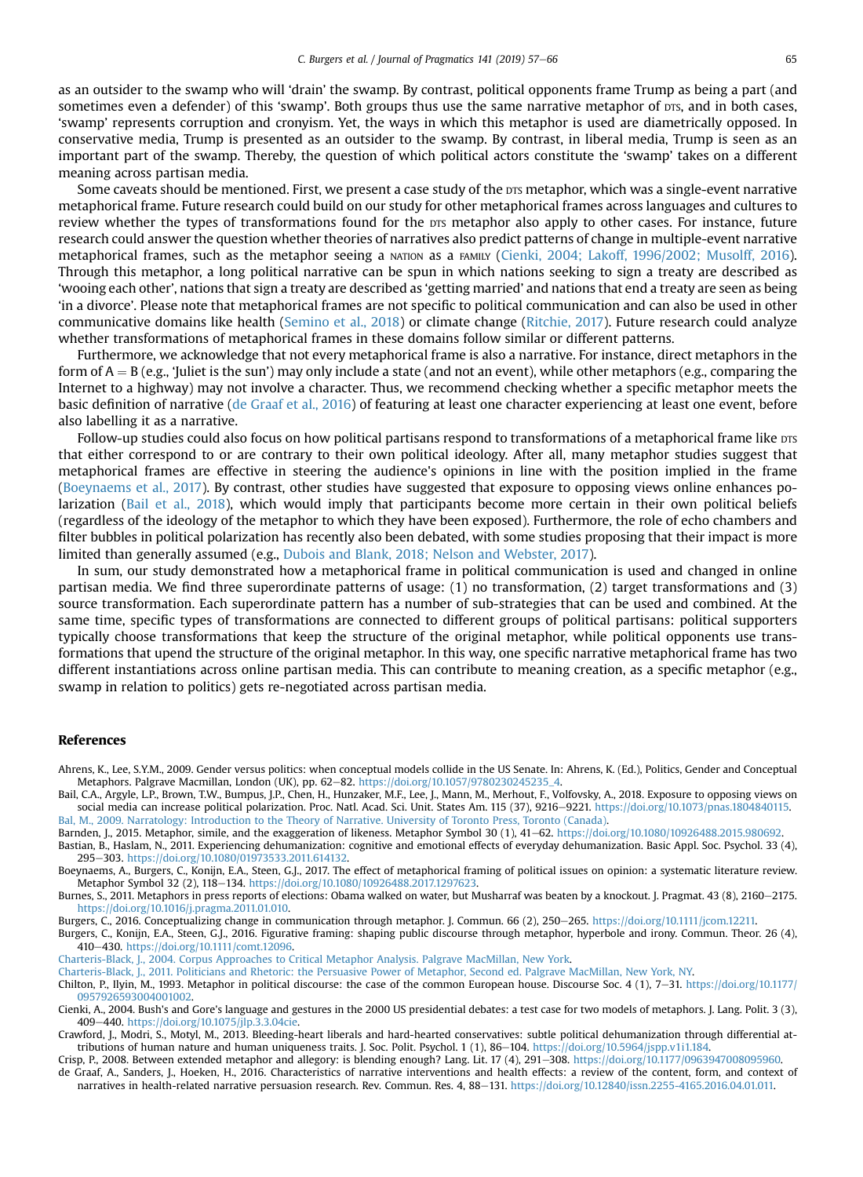<span id="page-8-0"></span>as an outsider to the swamp who will 'drain' the swamp. By contrast, political opponents frame Trump as being a part (and sometimes even a defender) of this 'swamp'. Both groups thus use the same narrative metaphor of prs, and in both cases, 'swamp' represents corruption and cronyism. Yet, the ways in which this metaphor is used are diametrically opposed. In conservative media, Trump is presented as an outsider to the swamp. By contrast, in liberal media, Trump is seen as an important part of the swamp. Thereby, the question of which political actors constitute the 'swamp' takes on a different meaning across partisan media.

Some caveats should be mentioned. First, we present a case study of the DTS metaphor, which was a single-event narrative metaphorical frame. Future research could build on our study for other metaphorical frames across languages and cultures to review whether the types of transformations found for the DTS metaphor also apply to other cases. For instance, future research could answer the question whether theories of narratives also predict patterns of change in multiple-event narrative metaphorical frames, such as the metaphor seeing a NATION as a FAMILY (Cienki, 2004; Lakoff, 1996/2002; Musolff, 2016). Through this metaphor, a long political narrative can be spun in which nations seeking to sign a treaty are described as 'wooing each other', nations that sign a treaty are described as 'getting married' and nations that end a treaty are seen as being 'in a divorce'. Please note that metaphorical frames are not specific to political communication and can also be used in other communicative domains like health ([Semino et al., 2018](#page-9-0)) or climate change [\(Ritchie, 2017\)](#page-9-0). Future research could analyze whether transformations of metaphorical frames in these domains follow similar or different patterns.

Furthermore, we acknowledge that not every metaphorical frame is also a narrative. For instance, direct metaphors in the form of  $A = B$  (e.g., 'Juliet is the sun') may only include a state (and not an event), while other metaphors (e.g., comparing the Internet to a highway) may not involve a character. Thus, we recommend checking whether a specific metaphor meets the basic definition of narrative (de Graaf et al., 2016) of featuring at least one character experiencing at least one event, before also labelling it as a narrative.

Follow-up studies could also focus on how political partisans respond to transformations of a metaphorical frame like DTS that either correspond to or are contrary to their own political ideology. After all, many metaphor studies suggest that metaphorical frames are effective in steering the audience's opinions in line with the position implied in the frame (Boeynaems et al., 2017). By contrast, other studies have suggested that exposure to opposing views online enhances polarization (Bail et al., 2018), which would imply that participants become more certain in their own political beliefs (regardless of the ideology of the metaphor to which they have been exposed). Furthermore, the role of echo chambers and filter bubbles in political polarization has recently also been debated, with some studies proposing that their impact is more limited than generally assumed (e.g., [Dubois and Blank, 2018; Nelson and Webster, 2017\)](#page-9-0).

In sum, our study demonstrated how a metaphorical frame in political communication is used and changed in online partisan media. We find three superordinate patterns of usage: (1) no transformation, (2) target transformations and (3) source transformation. Each superordinate pattern has a number of sub-strategies that can be used and combined. At the same time, specific types of transformations are connected to different groups of political partisans: political supporters typically choose transformations that keep the structure of the original metaphor, while political opponents use transformations that upend the structure of the original metaphor. In this way, one specific narrative metaphorical frame has two different instantiations across online partisan media. This can contribute to meaning creation, as a specific metaphor (e.g., swamp in relation to politics) gets re-negotiated across partisan media.

#### References

- Ahrens, K., Lee, S.Y.M., 2009. Gender versus politics: when conceptual models collide in the US Senate. In: Ahrens, K. (Ed.), Politics, Gender and Conceptual Metaphors. Palgrave Macmillan, London (UK), pp. 62-82. [https://doi.org/10.1057/9780230245235\\_4](https://doi.org/10.1057/9780230245235_4).
- Bail, C.A., Argyle, L.P., Brown, T.W., Bumpus, J.P., Chen, H., Hunzaker, M.F., Lee, J., Mann, M., Merhout, F., Volfovsky, A., 2018. Exposure to opposing views on social media can increase political polarization. Proc. Natl. Acad. Sci. Unit. States Am. 115 (37), 9216-9221. [https://doi.org/10.1073/pnas.1804840115.](https://doi.org/10.1073/pnas.1804840115) [Bal, M., 2009. Narratology: Introduction to the Theory of Narrative. University of Toronto Press, Toronto \(Canada\).](http://refhub.elsevier.com/S0378-2166(18)30616-7/sref3)
- Barnden, J., 2015. Metaphor, simile, and the exaggeration of likeness. Metaphor Symbol 30 (1), 41-62. <https://doi.org/10.1080/10926488.2015.980692>.
- Bastian, B., Haslam, N., 2011. Experiencing dehumanization: cognitive and emotional effects of everyday dehumanization. Basic Appl. Soc. Psychol. 33 (4), 295-303. [https://doi.org/10.1080/01973533.2011.614132.](https://doi.org/10.1080/01973533.2011.614132)

Boeynaems, A., Burgers, C., Konijn, E.A., Steen, G.J., 2017. The effect of metaphorical framing of political issues on opinion: a systematic literature review. Metaphor Symbol 32 (2), 118-134. [https://doi.org/10.1080/10926488.2017.1297623.](https://doi.org/10.1080/10926488.2017.1297623)

Burnes, S., 2011. Metaphors in press reports of elections: Obama walked on water, but Musharraf was beaten by a knockout. J. Pragmat. 43 (8), 2160-2175. [https://doi.org/10.1016/j.pragma.2011.01.010.](https://doi.org/10.1016/j.pragma.2011.01.010)

Burgers, C., 2016. Conceptualizing change in communication through metaphor. J. Commun. 66 (2), 250-265. [https://doi.org/10.1111/jcom.12211.](https://doi.org/10.1111/jcom.12211)

Burgers, C., Konijn, E.A., Steen, G.J., 2016. Figurative framing: shaping public discourse through metaphor, hyperbole and irony. Commun. Theor. 26 (4), 410e430. <https://doi.org/10.1111/comt.12096>.

[Charteris-Black, J., 2004. Corpus Approaches to Critical Metaphor Analysis. Palgrave MacMillan, New York](http://refhub.elsevier.com/S0378-2166(18)30616-7/sref10).

[Charteris-Black, J., 2011. Politicians and Rhetoric: the Persuasive Power of Metaphor, Second ed. Palgrave MacMillan, New York, NY.](http://refhub.elsevier.com/S0378-2166(18)30616-7/sref11)

Chilton, P., Ilyin, M., 1993. Metaphor in political discourse: the case of the common European house. Discourse Soc. 4 (1), 7-31. [https://doi.org/10.1177/](https://doi.org/10.1177/0957926593004001002) [0957926593004001002.](https://doi.org/10.1177/0957926593004001002)

Cienki, A., 2004. Bush's and Gore's language and gestures in the 2000 US presidential debates: a test case for two models of metaphors. J. Lang. Polit. 3 (3), 409e440. [https://doi.org/10.1075/jlp.3.3.04cie.](https://doi.org/10.1075/jlp.3.3.04cie)

Crisp, P., 2008. Between extended metaphor and allegory: is blending enough? Lang. Lit. 17 (4), 291-308. [https://doi.org/10.1177/0963947008095960.](https://doi.org/10.1177/0963947008095960)

de Graaf, A., Sanders, J., Hoeken, H., 2016. Characteristics of narrative interventions and health effects: a review of the content, form, and context of narratives in health-related narrative persuasion research. Rev. Commun. Res. 4, 88-131. [https://doi.org/10.12840/issn.2255-4165.2016.04.01.011.](https://doi.org/10.12840/issn.2255-4165.2016.04.01.011)

Crawford, J., Modri, S., Motyl, M., 2013. Bleeding-heart liberals and hard-hearted conservatives: subtle political dehumanization through differential attributions of human nature and human uniqueness traits. J. Soc. Polit. Psychol. 1 (1), 86–104. <https://doi.org/10.5964/jspp.v1i1.184>.